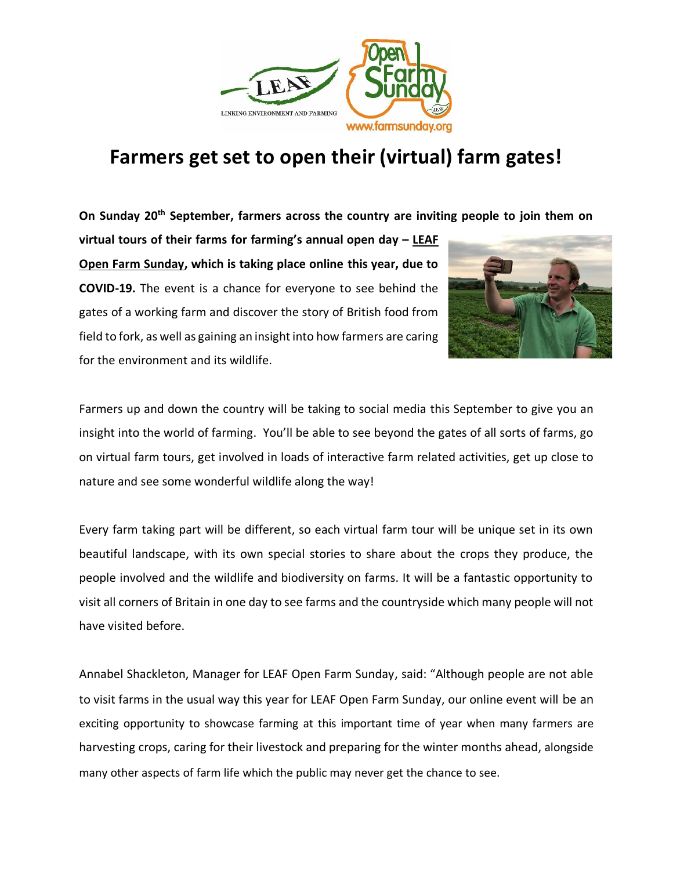

## **Farmers get set to open their (virtual) farm gates!**

**On Sunday 20th September, farmers across the country are inviting people to join them on** 

**virtual tours of their farms for farming's annual open day – LEAF Open Farm Sunday, which is taking place online this year, due to COVID-19.** The event is a chance for everyone to see behind the gates of a working farm and discover the story of British food from field to fork, as well as gaining an insight into how farmers are caring for the environment and its wildlife.



Farmers up and down the country will be taking to social media this September to give you an insight into the world of farming. You'll be able to see beyond the gates of all sorts of farms, go on virtual farm tours, get involved in loads of interactive farm related activities, get up close to nature and see some wonderful wildlife along the way!

Every farm taking part will be different, so each virtual farm tour will be unique set in its own beautiful landscape, with its own special stories to share about the crops they produce, the people involved and the wildlife and biodiversity on farms. It will be a fantastic opportunity to visit all corners of Britain in one day to see farms and the countryside which many people will not have visited before.

Annabel Shackleton, Manager for LEAF Open Farm Sunday, said: "Although people are not able to visit farms in the usual way this year for LEAF Open Farm Sunday, our online event will be an exciting opportunity to showcase farming at this important time of year when many farmers are harvesting crops, caring for their livestock and preparing for the winter months ahead, alongside many other aspects of farm life which the public may never get the chance to see.